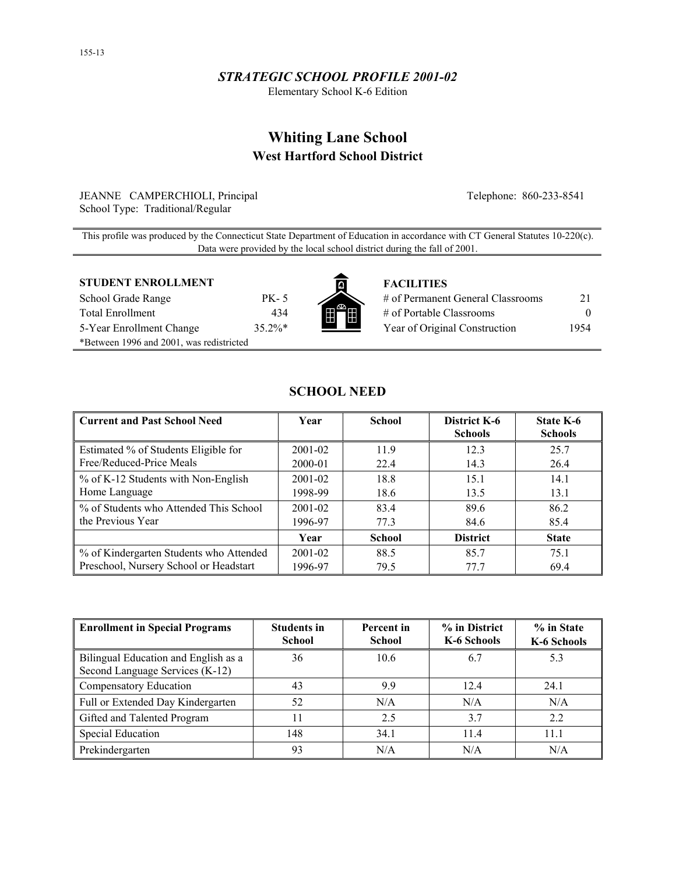## *STRATEGIC SCHOOL PROFILE 2001-02*

Elementary School K-6 Edition

# **Whiting Lane School West Hartford School District**

JEANNE CAMPERCHIOLI, Principal Telephone: 860-233-8541 School Type: Traditional/Regular

This profile was produced by the Connecticut State Department of Education in accordance with CT General Statutes 10-220(c). Data were provided by the local school district during the fall of 2001.

## **STUDENT ENROLLMENT THE FACILITIES**

| School Grade Range                       |
|------------------------------------------|
| <b>Total Enrollment</b>                  |
| 5-Year Enrollment Change                 |
| *Between 1996 and 2001, was redistricted |



| School Grade Range       | PK - 5    |                                                 | # of Permanent General Classrooms | 21.  |
|--------------------------|-----------|-------------------------------------------------|-----------------------------------|------|
| Total Enrollment         | 434       | FF                                              | # of Portable Classrooms          |      |
| 5-Year Enrollment Change | $35.2\%*$ | the contract of the contract of the contract of | Year of Original Construction     | 1954 |

## **SCHOOL NEED**

| <b>Current and Past School Need</b>     | Year        | <b>School</b> | District K-6<br><b>Schools</b> | <b>State K-6</b><br><b>Schools</b> |
|-----------------------------------------|-------------|---------------|--------------------------------|------------------------------------|
| Estimated % of Students Eligible for    | $2001 - 02$ | 11.9          | 12.3                           | 25.7                               |
| Free/Reduced-Price Meals                | 2000-01     | 22.4          | 14.3                           | 26.4                               |
| % of K-12 Students with Non-English     | 2001-02     | 18.8          | 15.1                           | 14.1                               |
| Home Language                           | 1998-99     | 18.6          | 13.5                           | 13.1                               |
| % of Students who Attended This School  | $2001 - 02$ | 83.4          | 89.6                           | 86.2                               |
| the Previous Year                       | 1996-97     | 77.3          | 84.6                           | 85.4                               |
|                                         | Year        | <b>School</b> | <b>District</b>                | <b>State</b>                       |
| % of Kindergarten Students who Attended | $2001 - 02$ | 88.5          | 85.7                           | 75.1                               |
| Preschool, Nursery School or Headstart  | 1996-97     | 79.5          | 77.7                           | 69.4                               |

| Enrollment in Special Programs                                          | <b>Students in</b><br><b>School</b> | Percent in<br><b>School</b> | % in District<br>K-6 Schools | % in State<br>K-6 Schools |
|-------------------------------------------------------------------------|-------------------------------------|-----------------------------|------------------------------|---------------------------|
| Bilingual Education and English as a<br>Second Language Services (K-12) | 36                                  | 10.6                        | 6.7                          | 5.3                       |
| Compensatory Education                                                  | 43                                  | 99                          | 12.4                         | 24.1                      |
| Full or Extended Day Kindergarten                                       | 52                                  | N/A                         | N/A                          | N/A                       |
| Gifted and Talented Program                                             | 11                                  | 2.5                         | 3.7                          | 2.2                       |
| <b>Special Education</b>                                                | 148                                 | 34.1                        | 11.4                         | 11.1                      |
| Prekindergarten                                                         | 93                                  | N/A                         | N/A                          | N/A                       |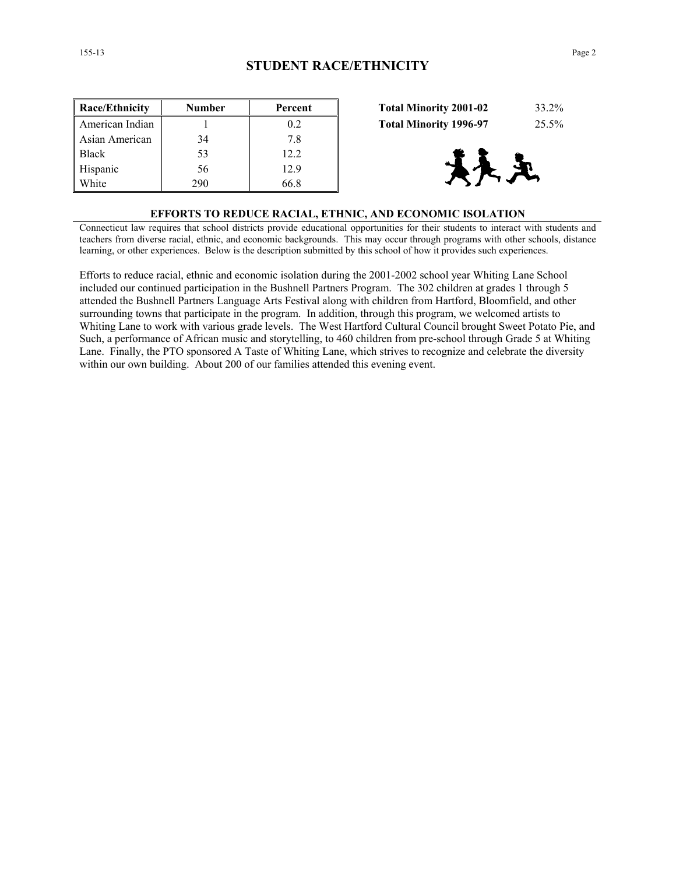| Race/Ethnicity  | <b>Number</b> | Percent | <b>Total Minority 2001-02</b><br>33.2% |  |
|-----------------|---------------|---------|----------------------------------------|--|
| American Indian |               | 0.2     | 25.5%<br><b>Total Minority 1996-97</b> |  |
| Asian American  | 34            | 7.8     |                                        |  |
| <b>Black</b>    | 53            | 12.2    |                                        |  |
| Hispanic        | 56            | 12.9    | 大尺                                     |  |
| White           | 290           | 66.8    |                                        |  |

| <b>Total Minority 2001-02</b> | 33.2% |
|-------------------------------|-------|
| <b>Total Minority 1996-97</b> | 25.5% |



#### **EFFORTS TO REDUCE RACIAL, ETHNIC, AND ECONOMIC ISOLATION**

Connecticut law requires that school districts provide educational opportunities for their students to interact with students and teachers from diverse racial, ethnic, and economic backgrounds. This may occur through programs with other schools, distance learning, or other experiences. Below is the description submitted by this school of how it provides such experiences.

Efforts to reduce racial, ethnic and economic isolation during the 2001-2002 school year Whiting Lane School included our continued participation in the Bushnell Partners Program. The 302 children at grades 1 through 5 attended the Bushnell Partners Language Arts Festival along with children from Hartford, Bloomfield, and other surrounding towns that participate in the program. In addition, through this program, we welcomed artists to Whiting Lane to work with various grade levels. The West Hartford Cultural Council brought Sweet Potato Pie, and Such, a performance of African music and storytelling, to 460 children from pre-school through Grade 5 at Whiting Lane. Finally, the PTO sponsored A Taste of Whiting Lane, which strives to recognize and celebrate the diversity within our own building. About 200 of our families attended this evening event.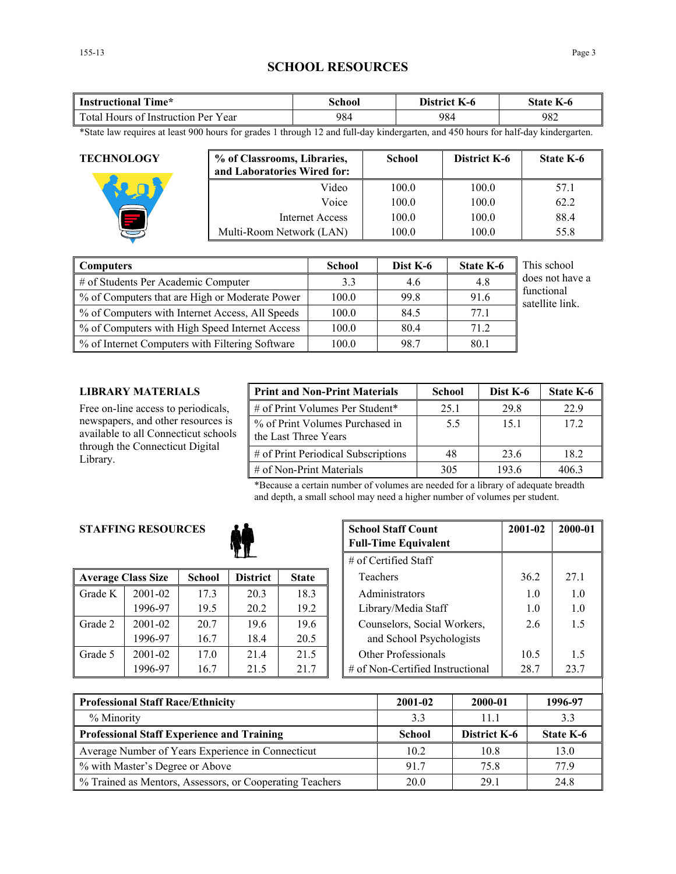## **SCHOOL RESOURCES**

| $\sim$<br>Time*<br>Instructional                               | \chool<br>71 | District<br>$K-0$ | state<br>K-0 |
|----------------------------------------------------------------|--------------|-------------------|--------------|
| $\mathbf{r}$<br>Y ear<br>rotal Hours of '<br>: Instruction Per | 984          | 984               | 982          |

\*State law requires at least 900 hours for grades 1 through 12 and full-day kindergarten, and 450 hours for half-day kindergarten.

| <b>TECHNOLOGY</b> | % of Classrooms, Libraries,<br>and Laboratories Wired for: | <b>School</b> | District K-6 | <b>State K-6</b> |
|-------------------|------------------------------------------------------------|---------------|--------------|------------------|
|                   | Video                                                      | 100.0         | 100.0        | 57.1             |
|                   | Voice                                                      | 100.0         | 100.0        | 62.2             |
|                   | Internet Access                                            | 100.0         | 100.0        | 88.4             |
|                   | Multi-Room Network (LAN)                                   | 100.0         | 100.0        | 55.8             |

| <b>Computers</b>                                | <b>School</b> | Dist K-6 | <b>State K-6</b> | This school                   |
|-------------------------------------------------|---------------|----------|------------------|-------------------------------|
| # of Students Per Academic Computer             | 3.3           | 4.6      | 4.8              | does not have a               |
| % of Computers that are High or Moderate Power  | 100.0         | 99.8     | 91.6             | functional<br>satellite link. |
| % of Computers with Internet Access, All Speeds | 100.0         | 84.5     | 77.1             |                               |
| % of Computers with High Speed Internet Access  | 100.0         | 80.4     | 71.2             |                               |
| % of Internet Computers with Filtering Software | 100.0         | 98.7     | 80.1             |                               |

## **LIBRARY MATERIALS**

Free on-line access to periodicals, newspapers, and other resources is available to all Connecticut schools through the Connecticut Digital Library.

| <b>Print and Non-Print Materials</b>                    | <b>School</b> | Dist K-6 | State K-6 |
|---------------------------------------------------------|---------------|----------|-----------|
| # of Print Volumes Per Student*                         | 25.1          | 29.8     | 22.9      |
| % of Print Volumes Purchased in<br>the Last Three Years | 5.5           | 15.1     | 172       |
| # of Print Periodical Subscriptions                     | 48            | 23.6     | 18.2      |
| $\#$ of Non-Print Materials                             | 305           | 193.6    | 4063      |

\*Because a certain number of volumes are needed for a library of adequate breadth and depth, a small school may need a higher number of volumes per student.

## **STAFFING RESOURCES**



|         | <b>Average Class Size</b> | <b>School</b> | <b>District</b> | <b>State</b> |
|---------|---------------------------|---------------|-----------------|--------------|
| Grade K | 2001-02                   | 17.3          | 20.3            | 18.3         |
|         | 1996-97                   | 19.5          | 20.2            | 19.2         |
| Grade 2 | 2001-02                   | 20.7          | 19.6            | 19.6         |
|         | 1996-97                   | 16.7          | 18.4            | 20.5         |
| Grade 5 | 2001-02                   | 17.0          | 21.4            | 21.5         |
|         | 1996-97                   | 16.7          | 21.5            | 21.7         |

| <b>RESOURCES</b> |               | <b>School Staff Count</b><br><b>Full-Time Equivalent</b> | 2001-02      | 2000-01                          |      |      |
|------------------|---------------|----------------------------------------------------------|--------------|----------------------------------|------|------|
|                  |               | $#$ of Certified Staff                                   |              |                                  |      |      |
| ass Size         | <b>School</b> | <b>District</b>                                          | <b>State</b> | Teachers                         | 36.2 | 27.1 |
| 2001-02          | 17.3          | 20.3                                                     | 18.3         | Administrators                   | 1.0  | 1.0  |
| 1996-97          | 19.5          | 20.2                                                     | 19.2         | Library/Media Staff              | 1.0  | 1.0  |
| 2001-02          | 20.7          | 19.6                                                     | 19.6         | Counselors, Social Workers,      | 2.6  | 1.5  |
| 1996-97          | 16.7          | 18.4                                                     | 20.5         | and School Psychologists         |      |      |
| 2001-02          | 17.0          | 21.4                                                     | 21.5         | <b>Other Professionals</b>       | 10.5 | 1.5  |
| 1996-97          | 16.7          | 21.5                                                     | 21.7         | # of Non-Certified Instructional | 28.7 | 23.7 |

| <b>Professional Staff Race/Ethnicity</b>                 | 2001-02       | 2000-01      | 1996-97   |
|----------------------------------------------------------|---------------|--------------|-----------|
| % Minority                                               | 33            | 11 1         | 3.3       |
| <b>Professional Staff Experience and Training</b>        | <b>School</b> | District K-6 | State K-6 |
| Average Number of Years Experience in Connecticut        | 10.2          | 10.8         | 13.0      |
| % with Master's Degree or Above                          | 917           | 75.8         | 77 9      |
| % Trained as Mentors, Assessors, or Cooperating Teachers | 20.0          | 29.1         | 24.8      |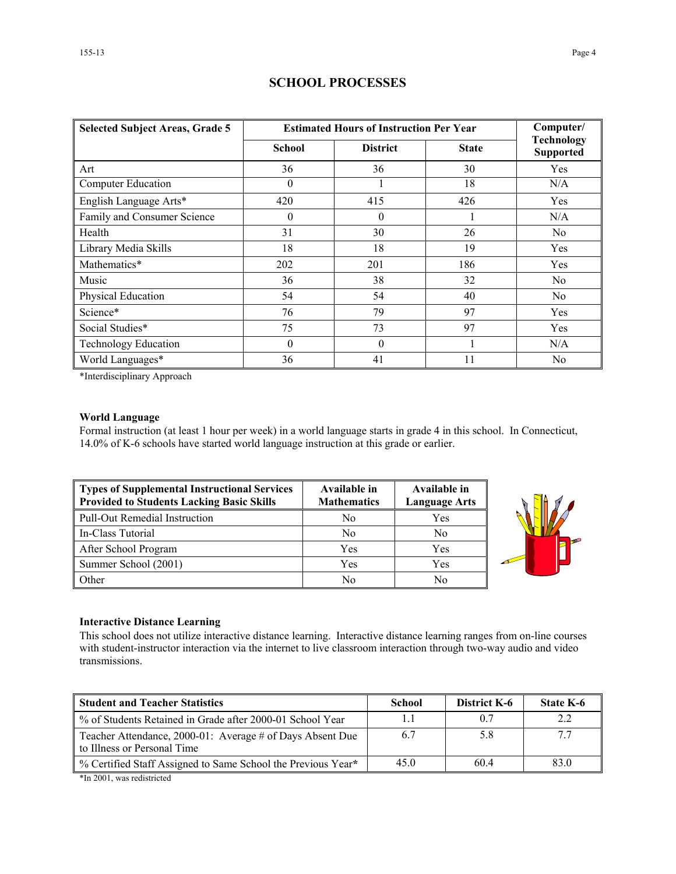| <b>Selected Subject Areas, Grade 5</b> | <b>Estimated Hours of Instruction Per Year</b> | Computer/       |              |                                       |
|----------------------------------------|------------------------------------------------|-----------------|--------------|---------------------------------------|
|                                        | School                                         | <b>District</b> | <b>State</b> | <b>Technology</b><br><b>Supported</b> |
| Art                                    | 36                                             | 36              | 30           | Yes                                   |
| <b>Computer Education</b>              | $\theta$                                       |                 | 18           | N/A                                   |
| English Language Arts*                 | 420                                            | 415             | 426          | Yes                                   |
| Family and Consumer Science            | $\theta$                                       | $\theta$        |              | N/A                                   |
| Health                                 | 31                                             | 30              | 26           | N <sub>0</sub>                        |
| Library Media Skills                   | 18                                             | 18              | 19           | Yes                                   |
| Mathematics*                           | 202                                            | 201             | 186          | Yes                                   |
| Music                                  | 36                                             | 38              | 32           | No                                    |
| Physical Education                     | 54                                             | 54              | 40           | N <sub>0</sub>                        |
| Science*                               | 76                                             | 79              | 97           | Yes                                   |
| Social Studies*                        | 75                                             | 73              | 97           | Yes                                   |
| <b>Technology Education</b>            | $\theta$                                       | $\theta$        |              | N/A                                   |
| World Languages*                       | 36                                             | 41              | 11           | N <sub>0</sub>                        |

## **SCHOOL PROCESSES**

\*Interdisciplinary Approach

## **World Language**

Formal instruction (at least 1 hour per week) in a world language starts in grade 4 in this school. In Connecticut, 14.0% of K-6 schools have started world language instruction at this grade or earlier.

| Types of Supplemental Instructional Services<br>Provided to Students Lacking Basic Skills | Available in<br><b>Mathematics</b> | Available in<br><b>Language Arts</b> |
|-------------------------------------------------------------------------------------------|------------------------------------|--------------------------------------|
| Pull-Out Remedial Instruction                                                             | No                                 | Yes                                  |
| In-Class Tutorial                                                                         | No                                 | No                                   |
| After School Program                                                                      | Yes                                | Yes                                  |
| Summer School (2001)                                                                      | Yes                                | Yes                                  |
| <b>Other</b>                                                                              | No                                 | No                                   |



#### **Interactive Distance Learning**

This school does not utilize interactive distance learning. Interactive distance learning ranges from on-line courses with student-instructor interaction via the internet to live classroom interaction through two-way audio and video transmissions.

| <b>Student and Teacher Statistics</b>                                                    | <b>School</b> | District K-6 | State K-6 |
|------------------------------------------------------------------------------------------|---------------|--------------|-----------|
| ■ % of Students Retained in Grade after 2000-01 School Year                              | 1.1           | 0.7          | 2.2       |
| Teacher Attendance, 2000-01: Average # of Days Absent Due<br>to Illness or Personal Time | 6.7           | 5.8          |           |
| ∥ % Certified Staff Assigned to Same School the Previous Year*                           | 45.0          | 60.4         | 83.0      |

\*In 2001, was redistricted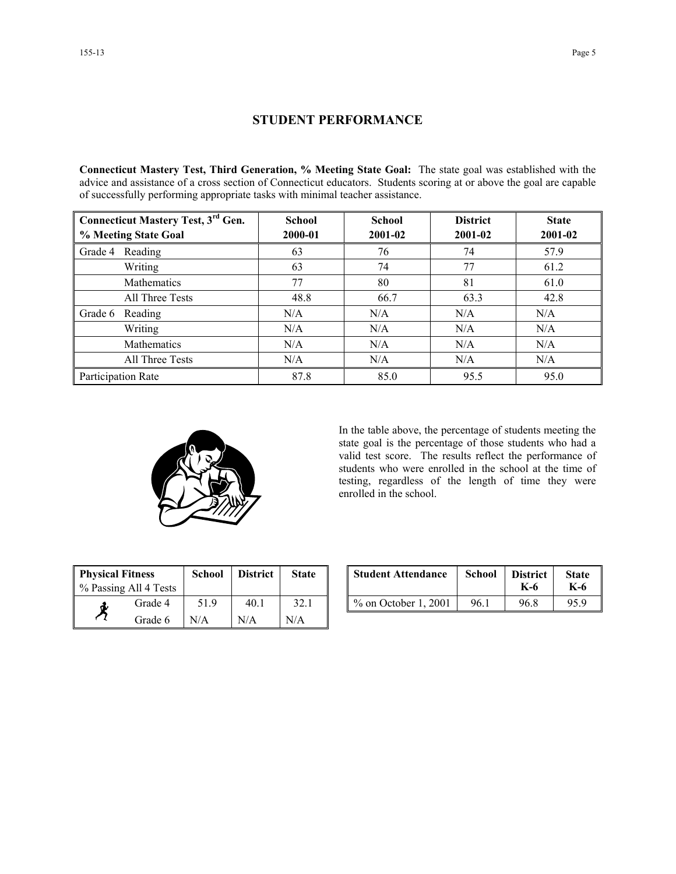## **STUDENT PERFORMANCE**

**Connecticut Mastery Test, Third Generation, % Meeting State Goal:** The state goal was established with the advice and assistance of a cross section of Connecticut educators. Students scoring at or above the goal are capable of successfully performing appropriate tasks with minimal teacher assistance.

| Connecticut Mastery Test, 3 <sup>rd</sup> Gen. | <b>School</b> | <b>School</b> | <b>District</b> | <b>State</b> |
|------------------------------------------------|---------------|---------------|-----------------|--------------|
| % Meeting State Goal                           | 2000-01       | 2001-02       | 2001-02         | 2001-02      |
| Reading<br>Grade 4                             | 63            | 76            | 74              | 57.9         |
| Writing                                        | 63            | 74            | 77              | 61.2         |
| Mathematics                                    | 77            | 80            | 81              | 61.0         |
| All Three Tests                                | 48.8          | 66.7          | 63.3            | 42.8         |
| Grade 6<br>Reading                             | N/A           | N/A           | N/A             | N/A          |
| Writing                                        | N/A           | N/A           | N/A             | N/A          |
| Mathematics                                    | N/A           | N/A           | N/A             | N/A          |
| All Three Tests                                | N/A           | N/A           | N/A             | N/A          |
| Participation Rate                             | 87.8          | 85.0          | 95.5            | 95.0         |



In the table above, the percentage of students meeting the state goal is the percentage of those students who had a valid test score. The results reflect the performance of students who were enrolled in the school at the time of testing, regardless of the length of time they were enrolled in the school.

| <b>Physical Fitness</b><br>% Passing All 4 Tests |         | <b>School</b> | <b>District</b> | <b>State</b> |
|--------------------------------------------------|---------|---------------|-----------------|--------------|
| đ.                                               | Grade 4 | 51.9          | 40.1            | 32.1         |
|                                                  | Grade 6 | N/A           | N/A             | N/A          |

| ness<br>ll 4 Tests | <b>School</b> | <b>District</b> | <b>State</b> | <b>Student Attendance</b> | <b>School</b> | <b>District</b><br>K-6 | <b>State</b><br>K-6 |
|--------------------|---------------|-----------------|--------------|---------------------------|---------------|------------------------|---------------------|
| Grade 4            | 519           | 40.1            | 32.1         | $\%$ on October 1, 2001   | 96.1          | 96.8                   | 95.9                |